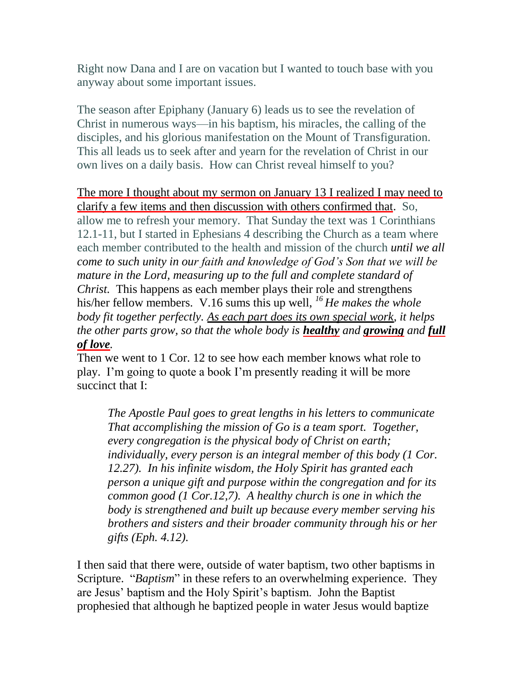Right now Dana and I are on vacation but I wanted to touch base with you anyway about some important issues.

The season after Epiphany (January 6) leads us to see the revelation of Christ in numerous ways—in his baptism, his miracles, the calling of the disciples, and his glorious manifestation on the Mount of Transfiguration. This all leads us to seek after and yearn for the revelation of Christ in our own lives on a daily basis. How can Christ reveal himself to you?

The more I thought about my sermon on January 13 I realized I may need to clarify a few items and then discussion with others confirmed that. So, allow me to refresh your memory. That Sunday the text was 1 Corinthians 12.1-11, but I started in Ephesians 4 describing the Church as a team where each member contributed to the health and mission of the church *until we all come to such unity in our faith and knowledge of God's Son that we will be mature in the Lord, measuring up to the full and complete standard of Christ.* This happens as each member plays their role and strengthens his/her fellow members. V.16 sums this up well, *<sup>16</sup> He makes the whole body fit together perfectly. As each part does its own special work, it helps the other parts grow, so that the whole body is healthy and growing and full of love.*

Then we went to 1 Cor. 12 to see how each member knows what role to play. I'm going to quote a book I'm presently reading it will be more succinct that I:

*The Apostle Paul goes to great lengths in his letters to communicate That accomplishing the mission of Go is a team sport. Together, every congregation is the physical body of Christ on earth; individually, every person is an integral member of this body (1 Cor. 12.27). In his infinite wisdom, the Holy Spirit has granted each person a unique gift and purpose within the congregation and for its common good (1 Cor.12,7). A healthy church is one in which the body is strengthened and built up because every member serving his brothers and sisters and their broader community through his or her gifts (Eph. 4.12).*

I then said that there were, outside of water baptism, two other baptisms in Scripture. "*Baptism*" in these refers to an overwhelming experience. They are Jesus' baptism and the Holy Spirit's baptism. John the Baptist prophesied that although he baptized people in water Jesus would baptize